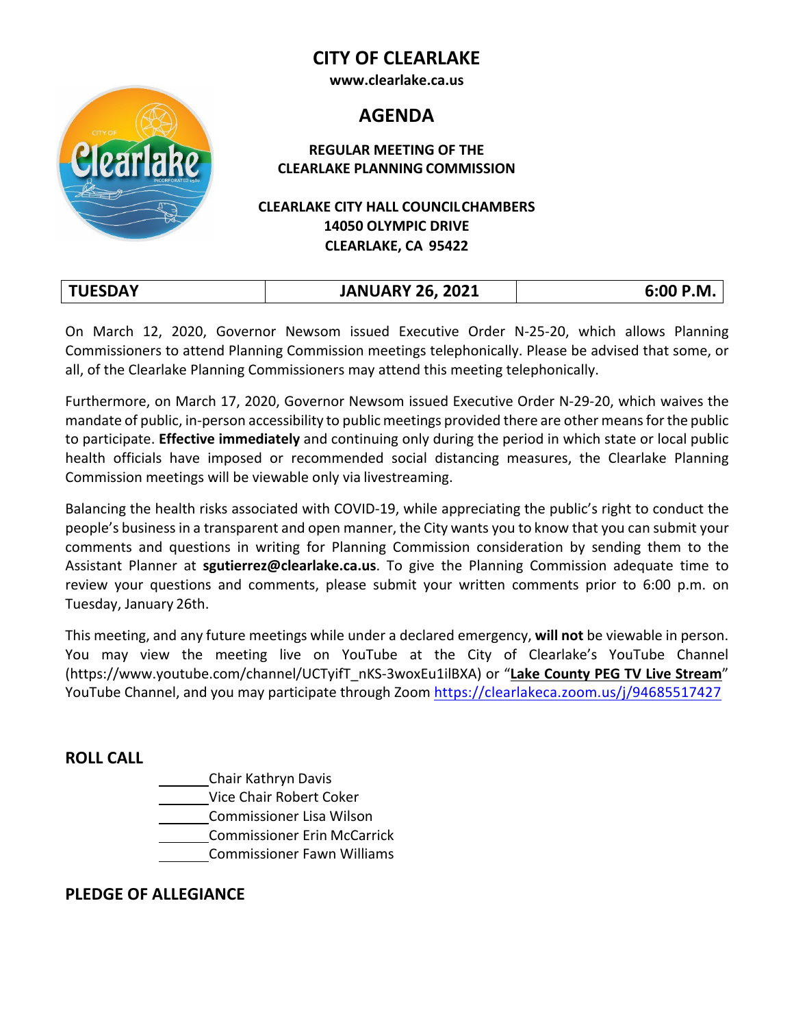# **CITY OF CLEARLAKE**

**[www.clearlake.ca.us](http://www.clearlake.ca.us/)**

# **AGENDA**

#### **REGULAR MEETING OF THE CLEARLAKE PLANNING COMMISSION**

## **CLEARLAKE CITY HALL COUNCILCHAMBERS 14050 OLYMPIC DRIVE CLEARLAKE, CA 95422**

| <b>TUESDAY</b> | <b>JANUARY 26, 2021</b> | 6:00 P.M. |
|----------------|-------------------------|-----------|
|                |                         |           |

On March 12, 2020, Governor Newsom issued Executive Order N-25-20, which allows Planning Commissioners to attend Planning Commission meetings telephonically. Please be advised that some, or all, of the Clearlake Planning Commissioners may attend this meeting telephonically.

Furthermore, on March 17, 2020, Governor Newsom issued Executive Order N-29-20, which waives the mandate of public, in-person accessibility to public meetings provided there are other meansforthe public to participate. **Effective immediately** and continuing only during the period in which state or local public health officials have imposed or recommended social distancing measures, the Clearlake Planning Commission meetings will be viewable only via livestreaming.

Balancing the health risks associated with COVID-19, while appreciating the public's right to conduct the people's businessin a transparent and open manner, the City wants you to know that you can submit your comments and questions in writing for Planning Commission consideration by sending them to the Assistant Planner at **[sgutierrez@clearlake.ca.us](mailto:mswanson@clearlake.ca.us)**. To give the Planning Commission adequate time to review your questions and comments, please submit your written comments prior to 6:00 p.m. on Tuesday, January 26th.

This meeting, and any future meetings while under a declared emergency, **will not** be viewable in person. You may view the meeting live on YouTube at the City of Clearlake's YouTube Channel (https:/[/www.youtube.com/channel/UCTyifT\\_nKS-3woxEu1ilBXA\) o](http://www.youtube.com/channel/UCTyifT_nKS-3woxEu1ilBXA))r "**Lake County PEG TV Live Stream**" YouTube Channel, and you may participate through Zoom <https://clearlakeca.zoom.us/j/94685517427>

# **ROLL CALL**

Chair Kathryn Davis Vice Chair Robert Coker Commissioner Lisa Wilson Commissioner Erin McCarrick Commissioner Fawn Williams

#### **PLEDGE OF ALLEGIANCE**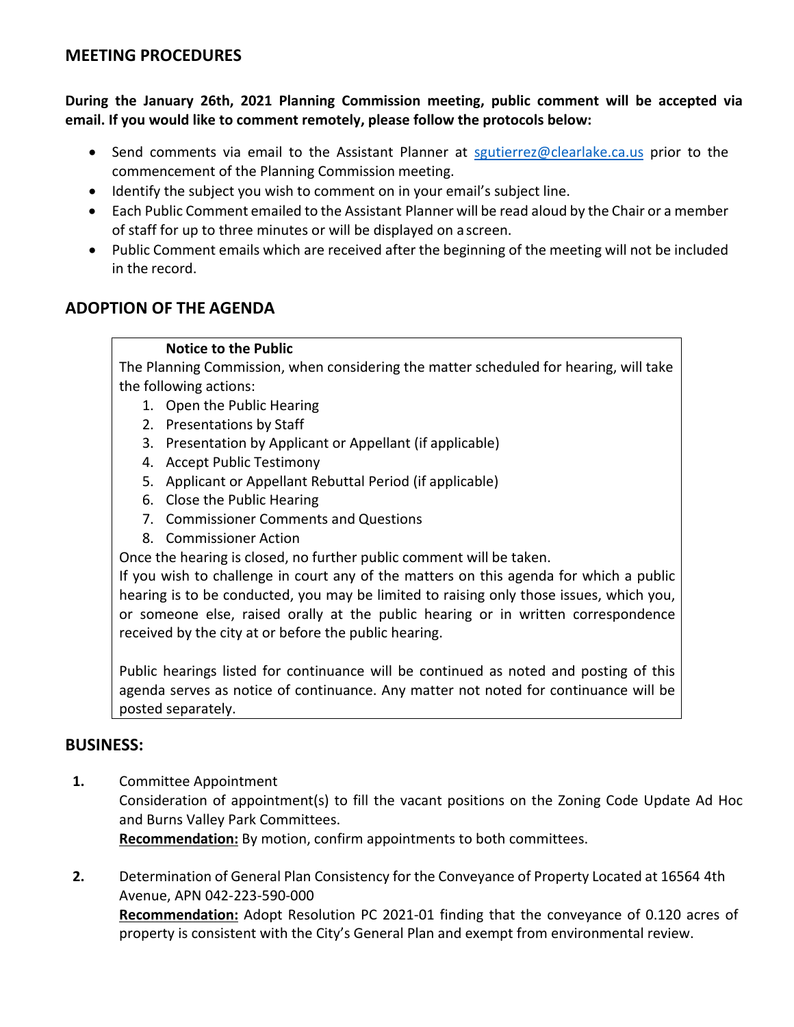# **MEETING PROCEDURES**

**During the January 26th, 2021 Planning Commission meeting, public comment will be accepted via email. If you would like to comment remotely, please follow the protocols below:**

- Send comments via email to the Assistant Planner at [sgutierrez@clearlake.ca.us](mailto:mswanson@clearlake.ca.us) prior to the commencement of the Planning Commission meeting.
- Identify the subject you wish to comment on in your email's subject line.
- Each Public Comment emailed to the Assistant Planner will be read aloud by the Chair or a member of staff for up to three minutes or will be displayed on ascreen.
- Public Comment emails which are received after the beginning of the meeting will not be included in the record.

# **ADOPTION OF THE AGENDA**

#### **Notice to the Public**

The Planning Commission, when considering the matter scheduled for hearing, will take the following actions:

- 1. Open the Public Hearing
- 2. Presentations by Staff
- 3. Presentation by Applicant or Appellant (if applicable)
- 4. Accept Public Testimony
- 5. Applicant or Appellant Rebuttal Period (if applicable)
- 6. Close the Public Hearing
- 7. Commissioner Comments and Questions
- 8. Commissioner Action

Once the hearing is closed, no further public comment will be taken.

If you wish to challenge in court any of the matters on this agenda for which a public hearing is to be conducted, you may be limited to raising only those issues, which you, or someone else, raised orally at the public hearing or in written correspondence received by the city at or before the public hearing.

Public hearings listed for continuance will be continued as noted and posting of this agenda serves as notice of continuance. Any matter not noted for continuance will be posted separately.

#### **BUSINESS:**

- **1.** Committee Appointment Consideration of appointment(s) to fill the vacant positions on the Zoning Code Update Ad Hoc and Burns Valley Park Committees. **Recommendation:** By motion, confirm appointments to both committees.
- **2.** Determination of General Plan Consistency for the Conveyance of Property Located at 16564 4th Avenue, APN 042-223-590-000 **Recommendation:** Adopt Resolution PC 2021-01 finding that the conveyance of 0.120 acres of property is consistent with the City's General Plan and exempt from environmental review.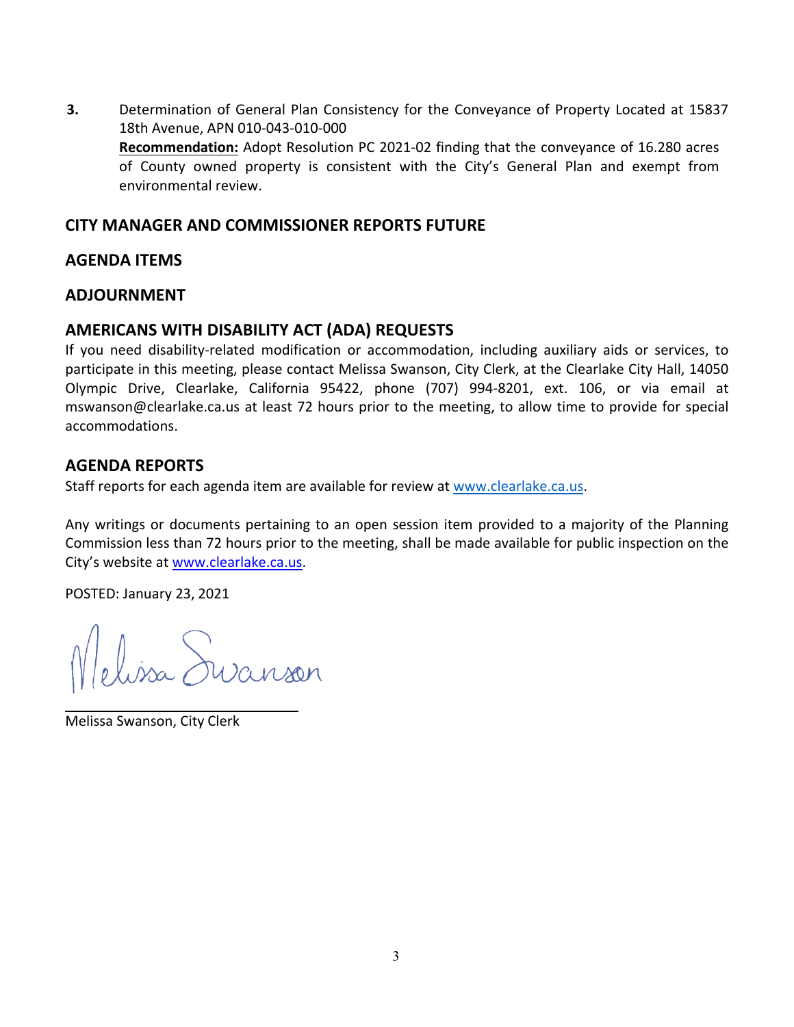**3.** Determination of General Plan Consistency for the Conveyance of Property Located at 15837 18th Avenue, APN 010-043-010-000 **Recommendation:** Adopt Resolution PC 2021-02 finding that the conveyance of 16.280 acres of County owned property is consistent with the City's General Plan and exempt from environmental review.

#### **CITY MANAGER AND COMMISSIONER REPORTS FUTURE**

#### **AGENDA ITEMS**

## **ADJOURNMENT**

# **AMERICANS WITH DISABILITY ACT (ADA) REQUESTS**

If you need disability-related modification or accommodation, including auxiliary aids or services, to participate in this meeting, please contact Melissa Swanson, City Clerk, at the Clearlake City Hall, 14050 Olympic Drive, Clearlake, California 95422, phone (707) 994-8201, ext. 106, or via email at [mswanson@clearlake.ca.us a](mailto:mswanson@clearlake.ca.us)t least 72 hours prior to the meeting, to allow time to provide for special accommodations.

## **AGENDA REPORTS**

Staff reports for each agenda item are available for review a[t www.clearlake.ca.us.](http://www.clearlake.ca.us/)

Any writings or documents pertaining to an open session item provided to a majority of the Planning Commission less than 72 hours prior to the meeting, shall be made available for public inspection on the City's website at [www.clearlake.ca.us.](http://www.clearlake.ca.us/)

POSTED: January 23, 2021

elissa Suranson

Melissa Swanson, City Clerk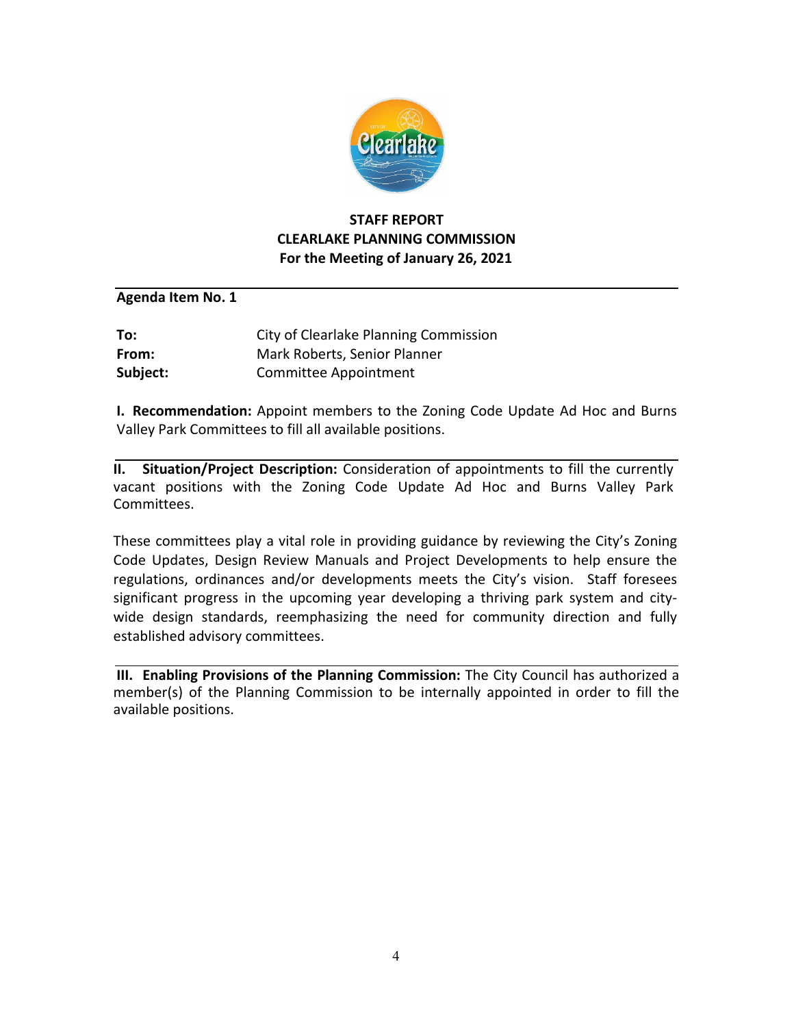

## **STAFF REPORT CLEARLAKE PLANNING COMMISSION For the Meeting of January 26, 2021**

#### **Agenda Item No. 1**

| To:      | City of Clearlake Planning Commission |
|----------|---------------------------------------|
| From:    | Mark Roberts, Senior Planner          |
| Subject: | Committee Appointment                 |

**I. Recommendation:** Appoint members to the Zoning Code Update Ad Hoc and Burns Valley Park Committees to fill all available positions.

**II. Situation/Project Description:** Consideration of appointments to fill the currently vacant positions with the Zoning Code Update Ad Hoc and Burns Valley Park Committees.

These committees play a vital role in providing guidance by reviewing the City's Zoning Code Updates, Design Review Manuals and Project Developments to help ensure the regulations, ordinances and/or developments meets the City's vision. Staff foresees significant progress in the upcoming year developing a thriving park system and citywide design standards, reemphasizing the need for community direction and fully established advisory committees.

**III. Enabling Provisions of the Planning Commission:** The City Council has authorized a member(s) of the Planning Commission to be internally appointed in order to fill the available positions.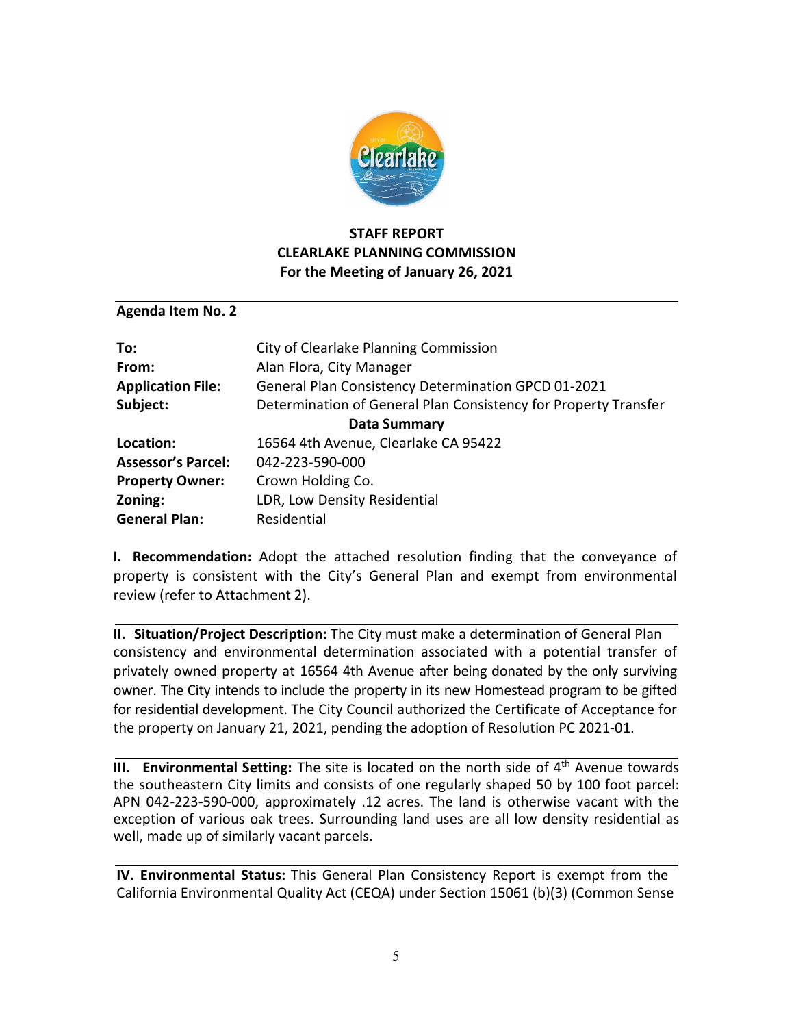

## **STAFF REPORT CLEARLAKE PLANNING COMMISSION For the Meeting of January 26, 2021**

#### **Agenda Item No. 2**

| To:                       | City of Clearlake Planning Commission                           |  |
|---------------------------|-----------------------------------------------------------------|--|
| From:                     | Alan Flora, City Manager                                        |  |
| <b>Application File:</b>  | General Plan Consistency Determination GPCD 01-2021             |  |
| Subject:                  | Determination of General Plan Consistency for Property Transfer |  |
| Data Summary              |                                                                 |  |
| Location:                 | 16564 4th Avenue, Clearlake CA 95422                            |  |
| <b>Assessor's Parcel:</b> | 042-223-590-000                                                 |  |
| <b>Property Owner:</b>    | Crown Holding Co.                                               |  |
| Zoning:                   | LDR, Low Density Residential                                    |  |
| <b>General Plan:</b>      | Residential                                                     |  |

**I. Recommendation:** Adopt the attached resolution finding that the conveyance of property is consistent with the City's General Plan and exempt from environmental review (refer to Attachment 2).

**II. Situation/Project Description:** The City must make a determination of General Plan consistency and environmental determination associated with a potential transfer of privately owned property at 16564 4th Avenue after being donated by the only surviving owner. The City intends to include the property in its new Homestead program to be gifted for residential development. The City Council authorized the Certificate of Acceptance for the property on January 21, 2021, pending the adoption of Resolution PC 2021-01.

**III. Environmental Setting:** The site is located on the north side of 4<sup>th</sup> Avenue towards the southeastern City limits and consists of one regularly shaped 50 by 100 foot parcel: APN 042-223-590-000, approximately .12 acres. The land is otherwise vacant with the exception of various oak trees. Surrounding land uses are all low density residential as well, made up of similarly vacant parcels.

**IV. Environmental Status:** This General Plan Consistency Report is exempt from the California Environmental Quality Act (CEQA) under Section 15061 (b)(3) (Common Sense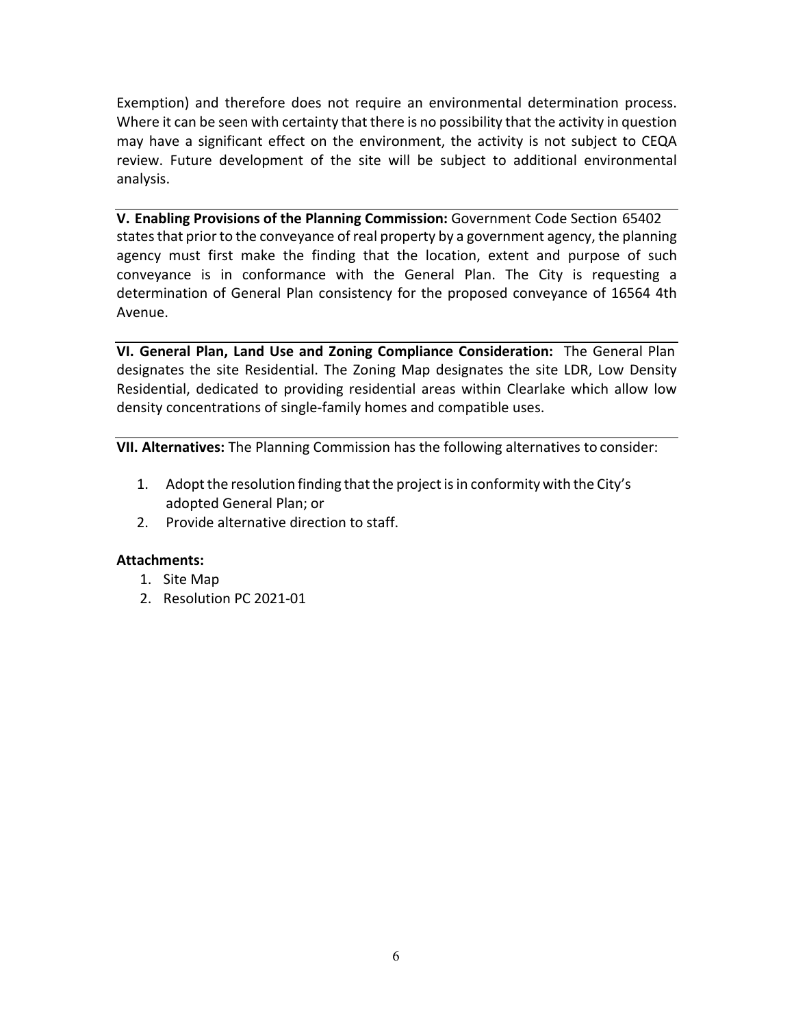Exemption) and therefore does not require an environmental determination process. Where it can be seen with certainty that there is no possibility that the activity in question may have a significant effect on the environment, the activity is not subject to CEQA review. Future development of the site will be subject to additional environmental analysis.

**V. Enabling Provisions of the Planning Commission:** Government Code Section 65402 states that prior to the conveyance of real property by a government agency, the planning agency must first make the finding that the location, extent and purpose of such conveyance is in conformance with the General Plan. The City is requesting a determination of General Plan consistency for the proposed conveyance of 16564 4th Avenue.

**VI. General Plan, Land Use and Zoning Compliance Consideration:** The General Plan designates the site Residential. The Zoning Map designates the site LDR, Low Density Residential, dedicated to providing residential areas within Clearlake which allow low density concentrations of single-family homes and compatible uses.

**VII. Alternatives:** The Planning Commission has the following alternatives to consider:

- 1. Adopt the resolution finding that the project is in conformity with the City's adopted General Plan; or
- 2. Provide alternative direction to staff.

#### **Attachments:**

- 1. Site Map
- 2. Resolution PC 2021-01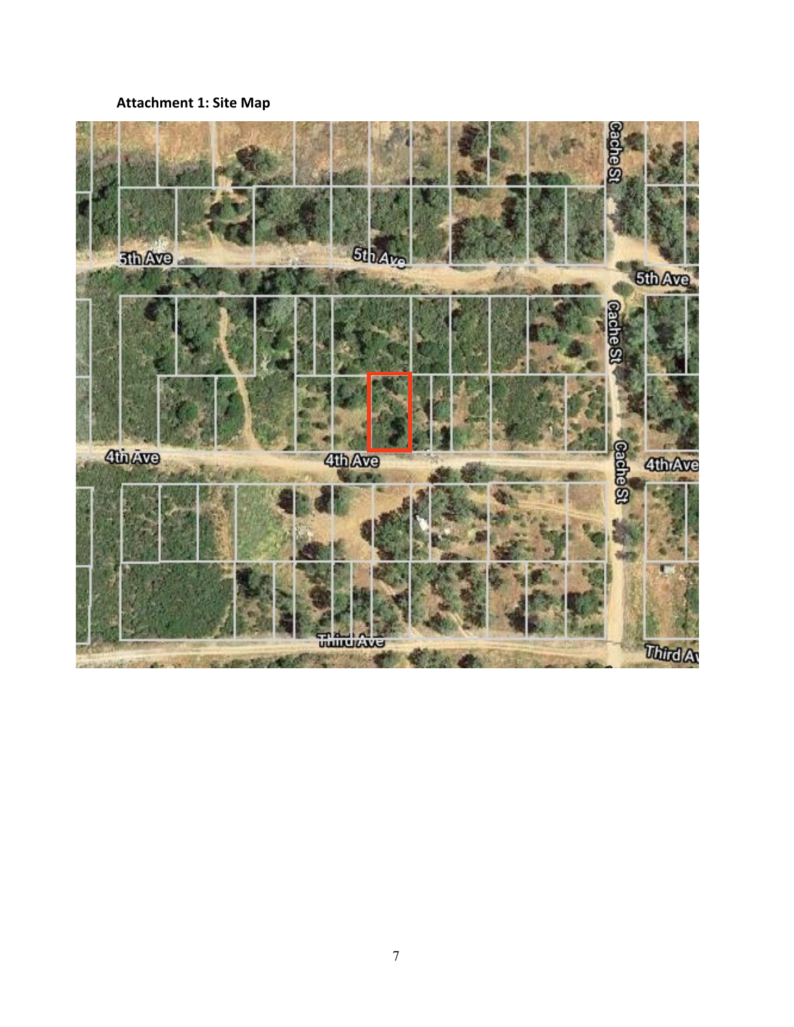# **Attachment 1: Site Map**

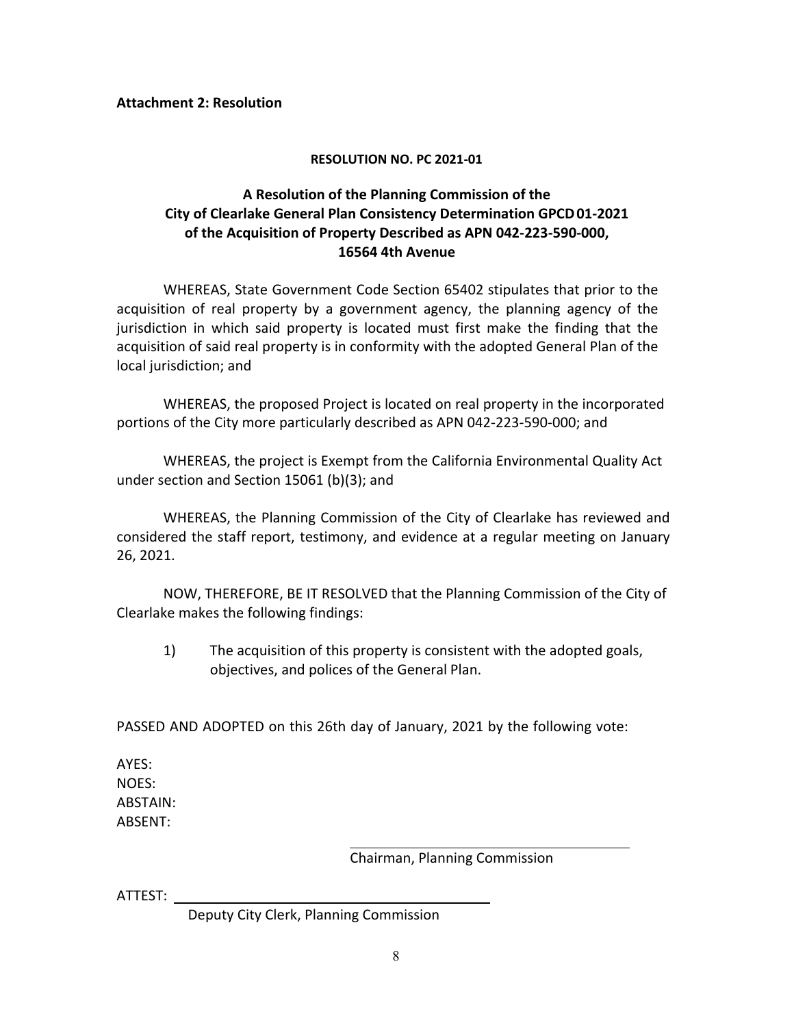#### **RESOLUTION NO. PC 2021-01**

#### **A Resolution of the Planning Commission of the City of Clearlake General Plan Consistency Determination GPCD01-2021 of the Acquisition of Property Described as APN 042-223-590-000, 16564 4th Avenue**

WHEREAS, State Government Code Section 65402 stipulates that prior to the acquisition of real property by a government agency, the planning agency of the jurisdiction in which said property is located must first make the finding that the acquisition of said real property is in conformity with the adopted General Plan of the local jurisdiction; and

WHEREAS, the proposed Project is located on real property in the incorporated portions of the City more particularly described as APN 042-223-590-000; and

WHEREAS, the project is Exempt from the California Environmental Quality Act under section and Section 15061 (b)(3); and

WHEREAS, the Planning Commission of the City of Clearlake has reviewed and considered the staff report, testimony, and evidence at a regular meeting on January 26, 2021.

NOW, THEREFORE, BE IT RESOLVED that the Planning Commission of the City of Clearlake makes the following findings:

1) The acquisition of this property is consistent with the adopted goals, objectives, and polices of the General Plan.

PASSED AND ADOPTED on this 26th day of January, 2021 by the following vote:

AYES: NOES: ABSTAIN: ABSENT:

Chairman, Planning Commission

ATTEST:

Deputy City Clerk, Planning Commission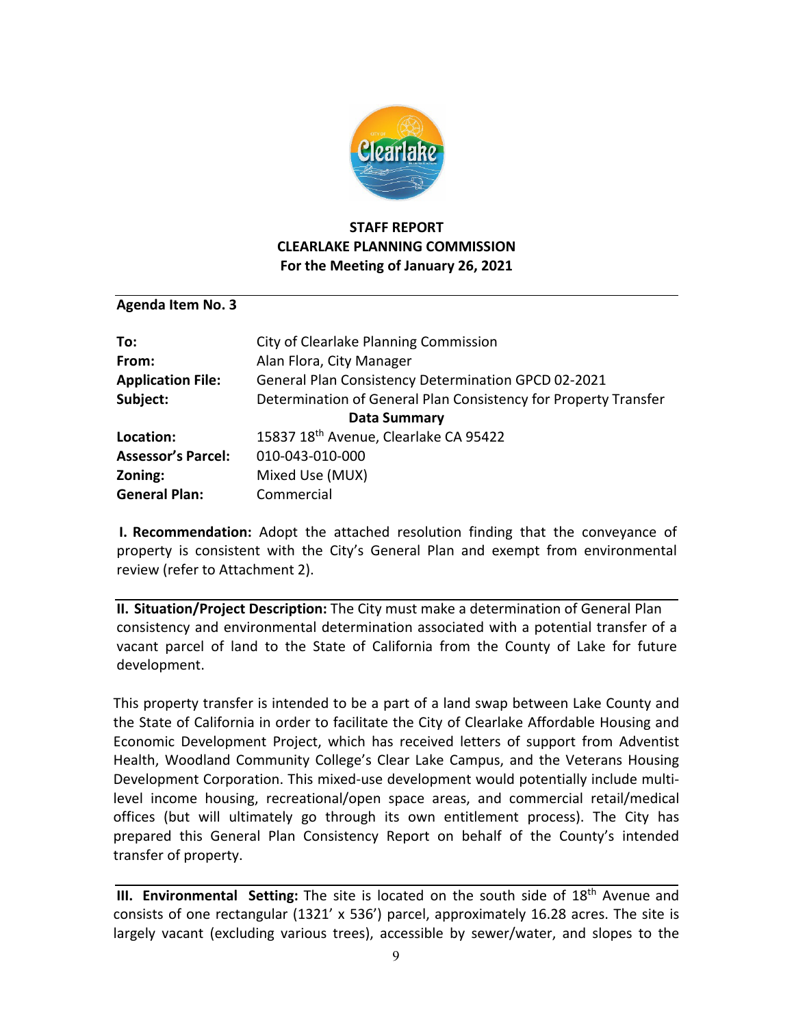

## **STAFF REPORT CLEARLAKE PLANNING COMMISSION For the Meeting of January 26, 2021**

**Agenda Item No. 3**

| To:                       | City of Clearlake Planning Commission                           |  |
|---------------------------|-----------------------------------------------------------------|--|
| From:                     | Alan Flora, City Manager                                        |  |
| <b>Application File:</b>  | <b>General Plan Consistency Determination GPCD 02-2021</b>      |  |
| Subject:                  | Determination of General Plan Consistency for Property Transfer |  |
| <b>Data Summary</b>       |                                                                 |  |
| Location:                 | 15837 18 <sup>th</sup> Avenue, Clearlake CA 95422               |  |
| <b>Assessor's Parcel:</b> | 010-043-010-000                                                 |  |
| Zoning:                   | Mixed Use (MUX)                                                 |  |
| <b>General Plan:</b>      | Commercial                                                      |  |

**I. Recommendation:** Adopt the attached resolution finding that the conveyance of property is consistent with the City's General Plan and exempt from environmental review (refer to Attachment 2).

**II. Situation/Project Description:** The City must make a determination of General Plan consistency and environmental determination associated with a potential transfer of a vacant parcel of land to the State of California from the County of Lake for future development.

This property transfer is intended to be a part of a land swap between Lake County and the State of California in order to facilitate the City of Clearlake Affordable Housing and Economic Development Project, which has received letters of support from Adventist Health, Woodland Community College's Clear Lake Campus, and the Veterans Housing Development Corporation. This mixed-use development would potentially include multilevel income housing, recreational/open space areas, and commercial retail/medical offices (but will ultimately go through its own entitlement process). The City has prepared this General Plan Consistency Report on behalf of the County's intended transfer of property.

**III. Environmental Setting:** The site is located on the south side of 18<sup>th</sup> Avenue and consists of one rectangular (1321' x 536') parcel, approximately 16.28 acres. The site is largely vacant (excluding various trees), accessible by sewer/water, and slopes to the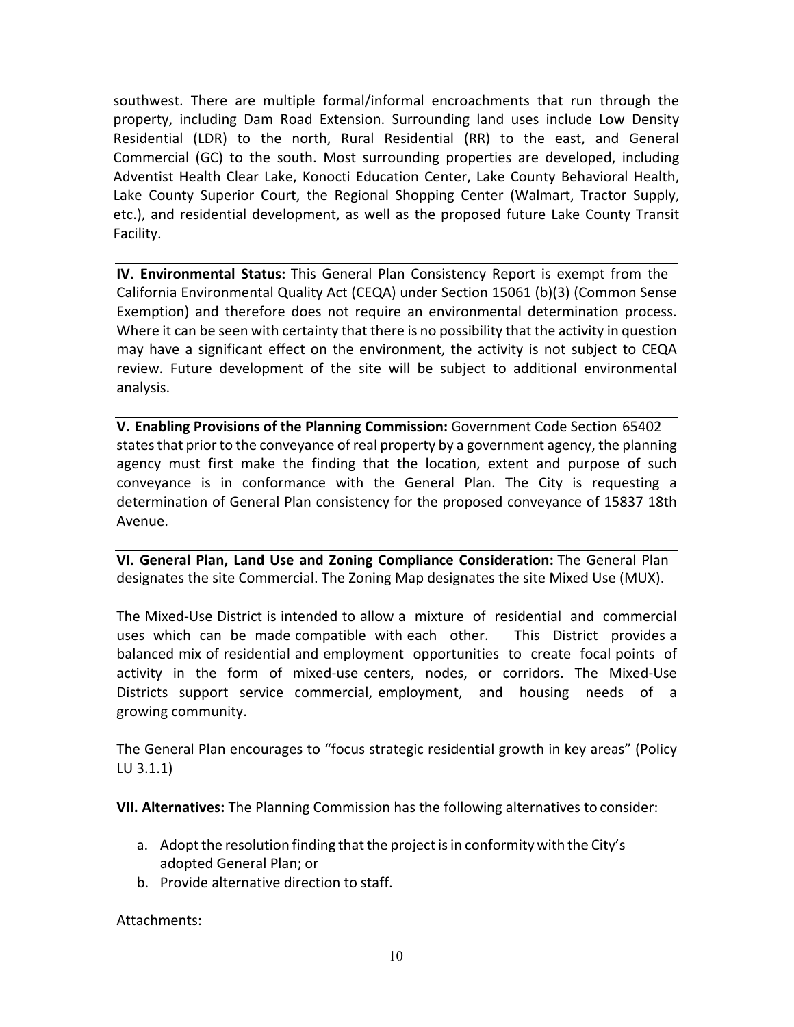southwest. There are multiple formal/informal encroachments that run through the property, including Dam Road Extension. Surrounding land uses include Low Density Residential (LDR) to the north, Rural Residential (RR) to the east, and General Commercial (GC) to the south. Most surrounding properties are developed, including Adventist Health Clear Lake, Konocti Education Center, Lake County Behavioral Health, Lake County Superior Court, the Regional Shopping Center (Walmart, Tractor Supply, etc.), and residential development, as well as the proposed future Lake County Transit Facility.

**IV. Environmental Status:** This General Plan Consistency Report is exempt from the California Environmental Quality Act (CEQA) under Section 15061 (b)(3) (Common Sense Exemption) and therefore does not require an environmental determination process. Where it can be seen with certainty that there is no possibility that the activity in question may have a significant effect on the environment, the activity is not subject to CEQA review. Future development of the site will be subject to additional environmental analysis.

**V. Enabling Provisions of the Planning Commission:** Government Code Section 65402 states that prior to the conveyance of real property by a government agency, the planning agency must first make the finding that the location, extent and purpose of such conveyance is in conformance with the General Plan. The City is requesting a determination of General Plan consistency for the proposed conveyance of 15837 18th Avenue.

**VI. General Plan, Land Use and Zoning Compliance Consideration:** The General Plan designates the site Commercial. The Zoning Map designates the site Mixed Use (MUX).

The Mixed-Use District is intended to allow a mixture of residential and commercial uses which can be made compatible with each other. This District provides a balanced mix of residential and employment opportunities to create focal points of activity in the form of mixed-use centers, nodes, or corridors. The Mixed-Use Districts support service commercial, employment, and housing needs of a growing community.

The General Plan encourages to "focus strategic residential growth in key areas" (Policy LU 3.1.1)

**VII. Alternatives:** The Planning Commission has the following alternatives to consider:

- a. Adopt the resolution finding that the project is in conformity with the City's adopted General Plan; or
- b. Provide alternative direction to staff.

Attachments: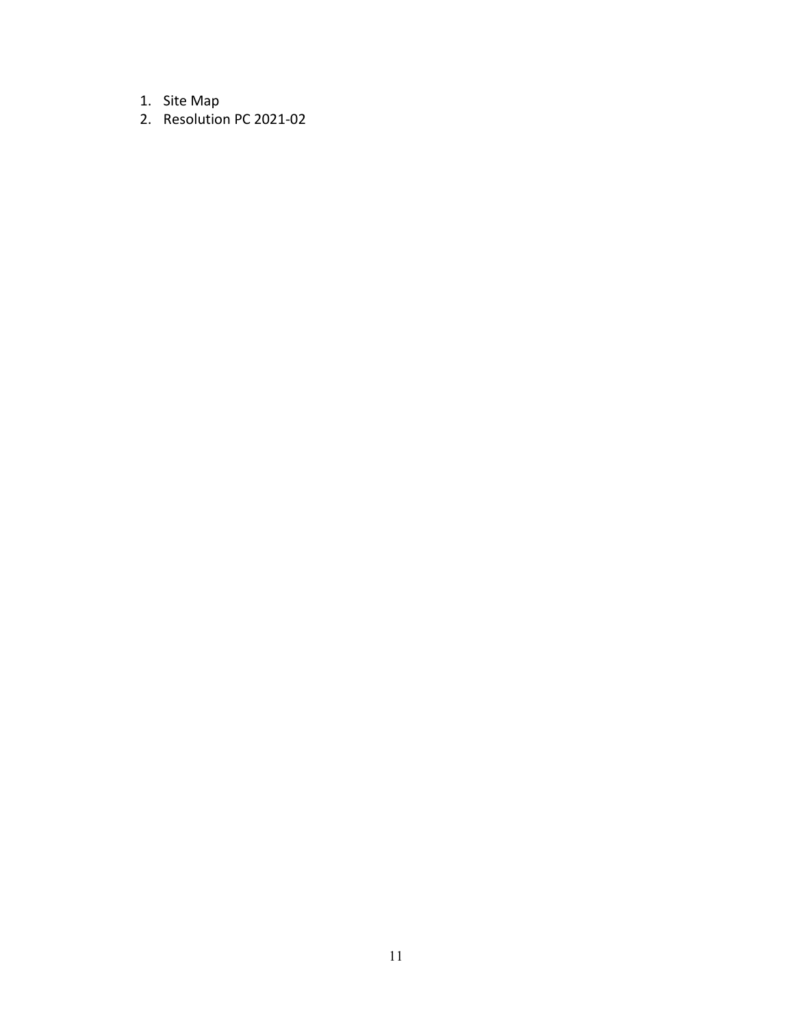- 1. Site Map
- 2. Resolution PC 2021-02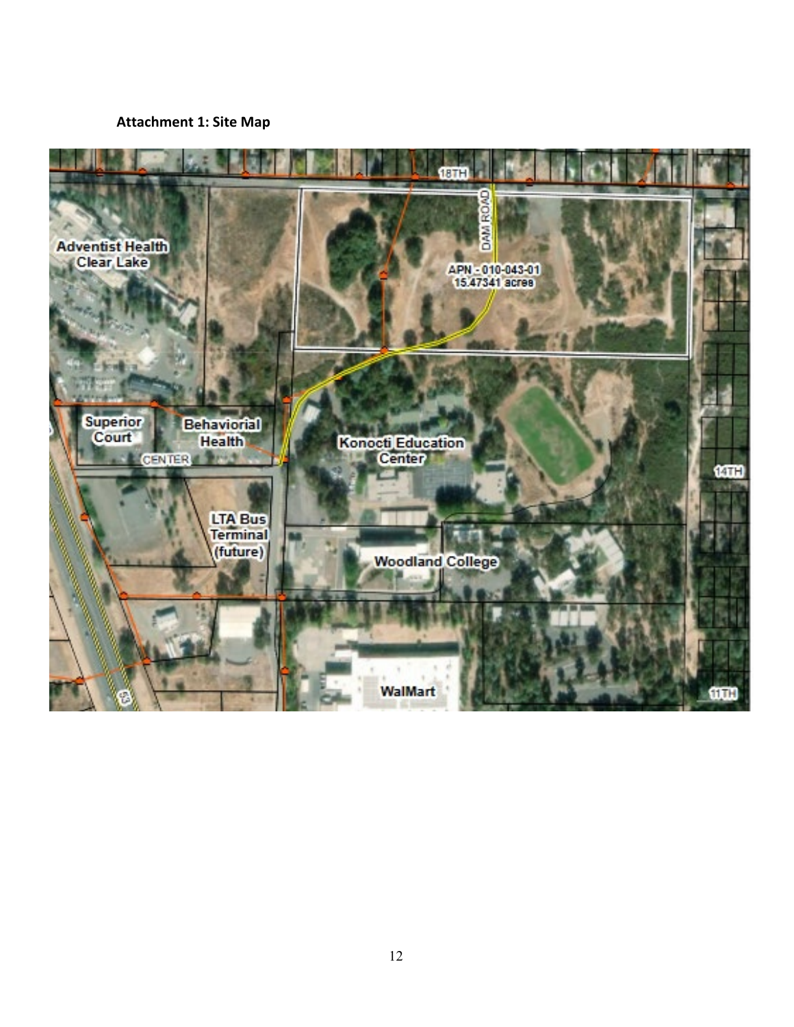#### **Attachment 1: Site Map**

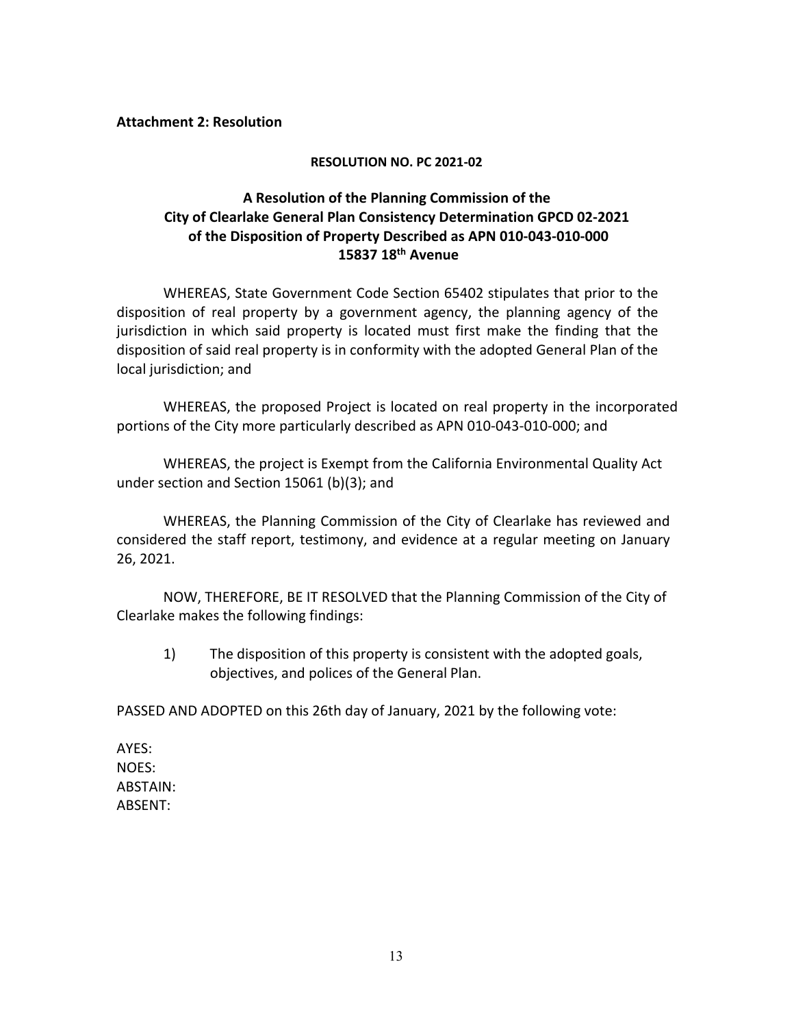#### **RESOLUTION NO. PC 2021-02**

#### **A Resolution of the Planning Commission of the City of Clearlake General Plan Consistency Determination GPCD 02-2021 of the Disposition of Property Described as APN 010-043-010-000 15837 18th Avenue**

WHEREAS, State Government Code Section 65402 stipulates that prior to the disposition of real property by a government agency, the planning agency of the jurisdiction in which said property is located must first make the finding that the disposition of said real property is in conformity with the adopted General Plan of the local jurisdiction; and

WHEREAS, the proposed Project is located on real property in the incorporated portions of the City more particularly described as APN 010-043-010-000; and

WHEREAS, the project is Exempt from the California Environmental Quality Act under section and Section 15061 (b)(3); and

WHEREAS, the Planning Commission of the City of Clearlake has reviewed and considered the staff report, testimony, and evidence at a regular meeting on January 26, 2021.

NOW, THEREFORE, BE IT RESOLVED that the Planning Commission of the City of Clearlake makes the following findings:

1) The disposition of this property is consistent with the adopted goals, objectives, and polices of the General Plan.

PASSED AND ADOPTED on this 26th day of January, 2021 by the following vote:

AYES: NOES: ABSTAIN: ABSENT: